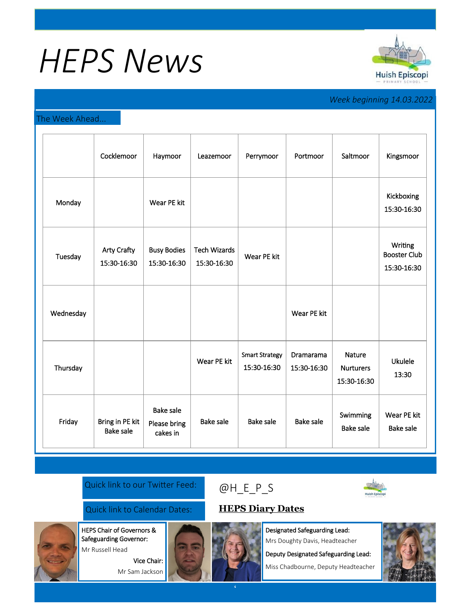# *HEPS News*



## *Week beginning 14.03.2022*

### The Week Ahead...

|           | Cocklemoor                          | Haymoor                                      | Leazemoor                          | Perrymoor                            | Portmoor                 | Saltmoor                                  | Kingsmoor                                     |
|-----------|-------------------------------------|----------------------------------------------|------------------------------------|--------------------------------------|--------------------------|-------------------------------------------|-----------------------------------------------|
| Monday    |                                     | Wear PE kit                                  |                                    |                                      |                          |                                           | Kickboxing<br>15:30-16:30                     |
| Tuesday   | <b>Arty Crafty</b><br>15:30-16:30   | <b>Busy Bodies</b><br>15:30-16:30            | <b>Tech Wizards</b><br>15:30-16:30 | Wear PE kit                          |                          |                                           | Writing<br><b>Booster Club</b><br>15:30-16:30 |
| Wednesday |                                     |                                              |                                    |                                      | Wear PE kit              |                                           |                                               |
| Thursday  |                                     |                                              | Wear PE kit                        | <b>Smart Strategy</b><br>15:30-16:30 | Dramarama<br>15:30-16:30 | Nature<br><b>Nurturers</b><br>15:30-16:30 | <b>Ukulele</b><br>13:30                       |
| Friday    | Bring in PE kit<br><b>Bake sale</b> | <b>Bake sale</b><br>Please bring<br>cakes in | <b>Bake sale</b>                   | <b>Bake sale</b>                     | <b>Bake sale</b>         | Swimming<br><b>Bake sale</b>              | Wear PE kit<br><b>Bake sale</b>               |

#### Quick link to our Twitter Feed:

## Quick link to Calendar Dates: **[HEPS Diary Dates](https://huishepiscopiprimary.co.uk/diary-dates/)**

HEPS Chair of Governors &

Safeguarding Governor: Mr Russell Head

> Vice Chair: Mr Sam Jackson



Designated Safeguarding Lead: Mrs Doughty Davis, Headteacher

Deputy Designated Safeguarding Lead:

Miss Chadbourne, Deputy Headteacher